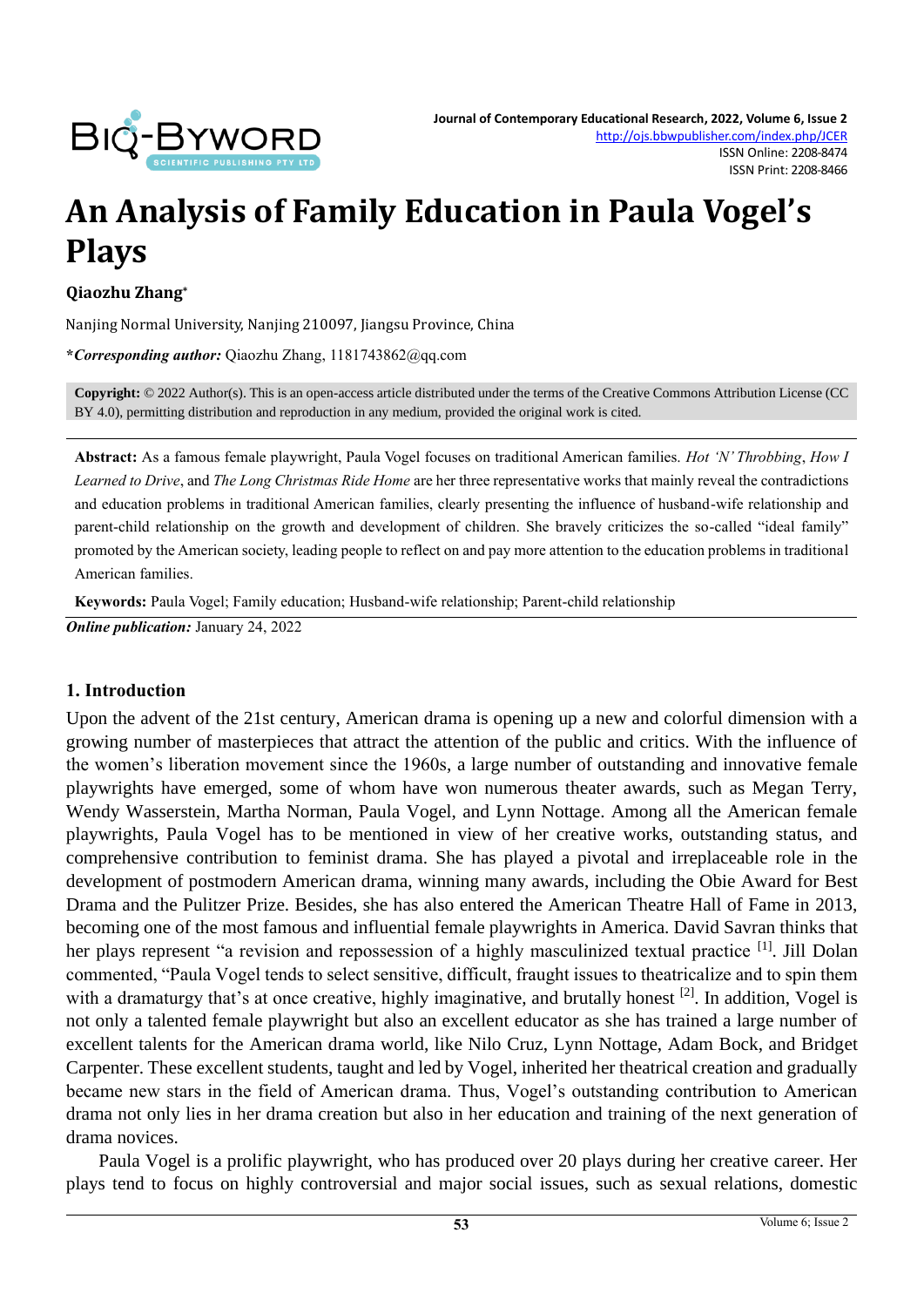

# **An Analysis of Family Education in Paula Vogel's Plays**

**Qiaozhu Zhang\***

Nanjing Normal University, Nanjing 210097, Jiangsu Province, China

**\****Corresponding author:* Qiaozhu Zhang, 1181743862@qq.com

**Copyright:** © 2022 Author(s). This is an open-access article distributed under the terms of th[e Creative Commons Attribution License \(CC](https://creativecommons.org/licenses/by/4.0/)  [BY 4.0\),](https://creativecommons.org/licenses/by/4.0/) permitting distribution and reproduction in any medium, provided the original work is cited.

**Abstract:** As a famous female playwright, Paula Vogel focuses on traditional American families. *Hot 'N' Throbbing*, *How I Learned to Drive*, and *The Long Christmas Ride Home* are her three representative works that mainly reveal the contradictions and education problems in traditional American families, clearly presenting the influence of husband-wife relationship and parent-child relationship on the growth and development of children. She bravely criticizes the so-called "ideal family" promoted by the American society, leading people to reflect on and pay more attention to the education problems in traditional American families.

**Keywords:** Paula Vogel; Family education; Husband-wife relationship; Parent-child relationship *Online publication:* January 24, 2022

#### **1. Introduction**

Upon the advent of the 21st century, American drama is opening up a new and colorful dimension with a growing number of masterpieces that attract the attention of the public and critics. With the influence of the women's liberation movement since the 1960s, a large number of outstanding and innovative female playwrights have emerged, some of whom have won numerous theater awards, such as Megan Terry, Wendy Wasserstein, Martha Norman, Paula Vogel, and Lynn Nottage. Among all the American female playwrights, Paula Vogel has to be mentioned in view of her creative works, outstanding status, and comprehensive contribution to feminist drama. She has played a pivotal and irreplaceable role in the development of postmodern American drama, winning many awards, including the Obie Award for Best Drama and the Pulitzer Prize. Besides, she has also entered the American Theatre Hall of Fame in 2013, becoming one of the most famous and influential female playwrights in America. David Savran thinks that her plays represent "a revision and repossession of a highly masculinized textual practice <sup>[1]</sup>. Jill Dolan commented, "Paula Vogel tends to select sensitive, difficult, fraught issues to theatricalize and to spin them with a dramaturgy that's at once creative, highly imaginative, and brutally honest <sup>[2]</sup>. In addition, Vogel is not only a talented female playwright but also an excellent educator as she has trained a large number of excellent talents for the American drama world, like Nilo Cruz, Lynn Nottage, Adam Bock, and Bridget Carpenter. These excellent students, taught and led by Vogel, inherited her theatrical creation and gradually became new stars in the field of American drama. Thus, Vogel's outstanding contribution to American drama not only lies in her drama creation but also in her education and training of the next generation of drama novices.

Paula Vogel is a prolific playwright, who has produced over 20 plays during her creative career. Her plays tend to focus on highly controversial and major social issues, such as sexual relations, domestic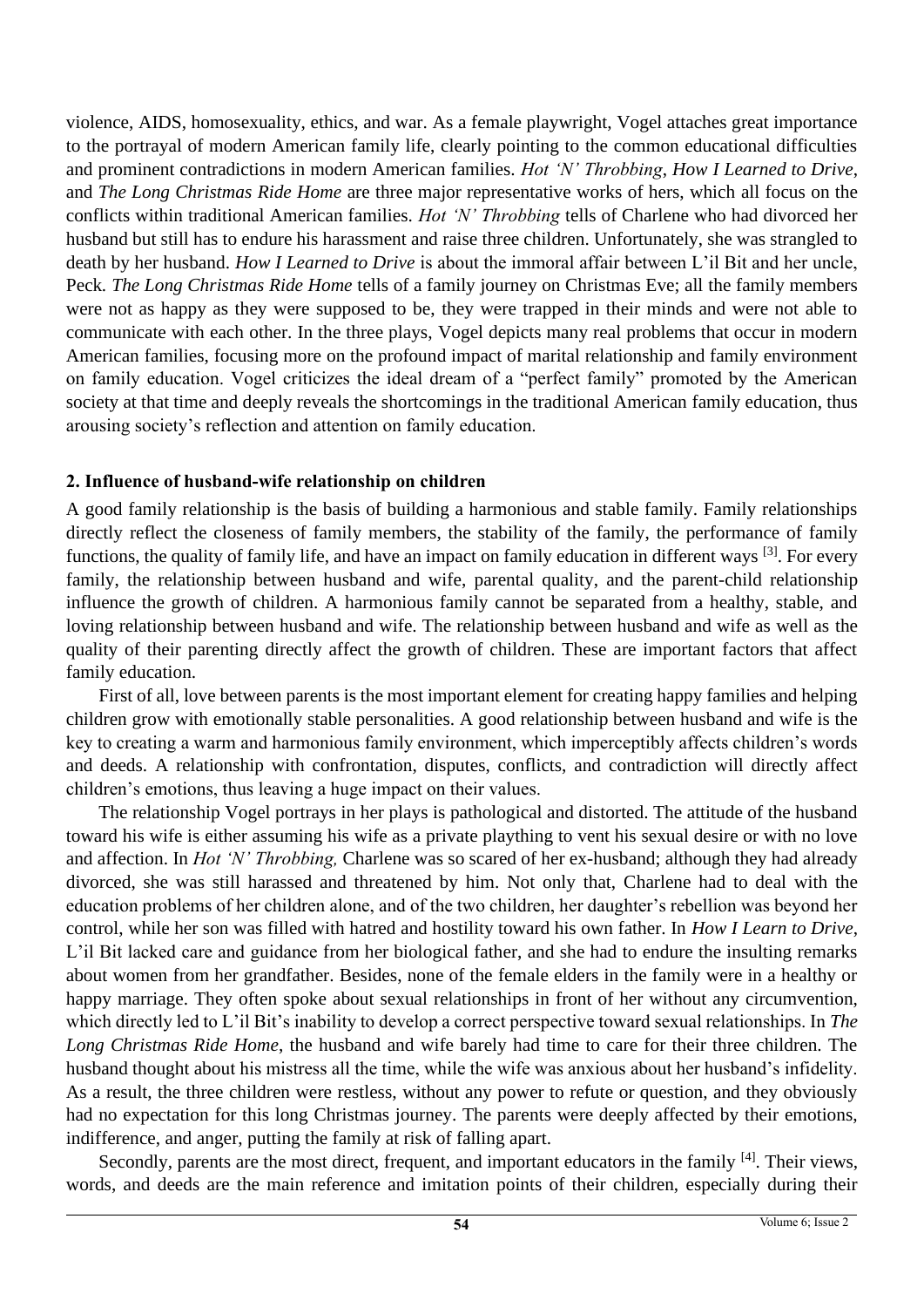violence, AIDS, homosexuality, ethics, and war. As a female playwright, Vogel attaches great importance to the portrayal of modern American family life, clearly pointing to the common educational difficulties and prominent contradictions in modern American families. *Hot 'N' Throbbing*, *How I Learned to Drive*, and *The Long Christmas Ride Home* are three major representative works of hers, which all focus on the conflicts within traditional American families. *Hot 'N' Throbbing* tells of Charlene who had divorced her husband but still has to endure his harassment and raise three children. Unfortunately, she was strangled to death by her husband. *How I Learned to Drive* is about the immoral affair between L'il Bit and her uncle, Peck*. The Long Christmas Ride Home* tells of a family journey on Christmas Eve; all the family members were not as happy as they were supposed to be, they were trapped in their minds and were not able to communicate with each other. In the three plays, Vogel depicts many real problems that occur in modern American families, focusing more on the profound impact of marital relationship and family environment on family education. Vogel criticizes the ideal dream of a "perfect family" promoted by the American society at that time and deeply reveals the shortcomings in the traditional American family education, thus arousing society's reflection and attention on family education.

### **2. Influence of husband-wife relationship on children**

A good family relationship is the basis of building a harmonious and stable family. Family relationships directly reflect the closeness of family members, the stability of the family, the performance of family functions, the quality of family life, and have an impact on family education in different ways [3]. For every family, the relationship between husband and wife, parental quality, and the parent-child relationship influence the growth of children. A harmonious family cannot be separated from a healthy, stable, and loving relationship between husband and wife. The relationship between husband and wife as well as the quality of their parenting directly affect the growth of children. These are important factors that affect family education.

First of all, love between parents is the most important element for creating happy families and helping children grow with emotionally stable personalities. A good relationship between husband and wife is the key to creating a warm and harmonious family environment, which imperceptibly affects children's words and deeds. A relationship with confrontation, disputes, conflicts, and contradiction will directly affect children's emotions, thus leaving a huge impact on their values.

The relationship Vogel portrays in her plays is pathological and distorted. The attitude of the husband toward his wife is either assuming his wife as a private plaything to vent his sexual desire or with no love and affection. In *Hot 'N' Throbbing,* Charlene was so scared of her ex-husband; although they had already divorced, she was still harassed and threatened by him. Not only that, Charlene had to deal with the education problems of her children alone, and of the two children, her daughter's rebellion was beyond her control, while her son was filled with hatred and hostility toward his own father. In *How I Learn to Drive*, L'il Bit lacked care and guidance from her biological father, and she had to endure the insulting remarks about women from her grandfather. Besides, none of the female elders in the family were in a healthy or happy marriage. They often spoke about sexual relationships in front of her without any circumvention, which directly led to L'il Bit's inability to develop a correct perspective toward sexual relationships. In *The Long Christmas Ride Home*, the husband and wife barely had time to care for their three children. The husband thought about his mistress all the time, while the wife was anxious about her husband's infidelity. As a result, the three children were restless, without any power to refute or question, and they obviously had no expectation for this long Christmas journey. The parents were deeply affected by their emotions, indifference, and anger, putting the family at risk of falling apart.

Secondly, parents are the most direct, frequent, and important educators in the family [4]. Their views, words, and deeds are the main reference and imitation points of their children, especially during their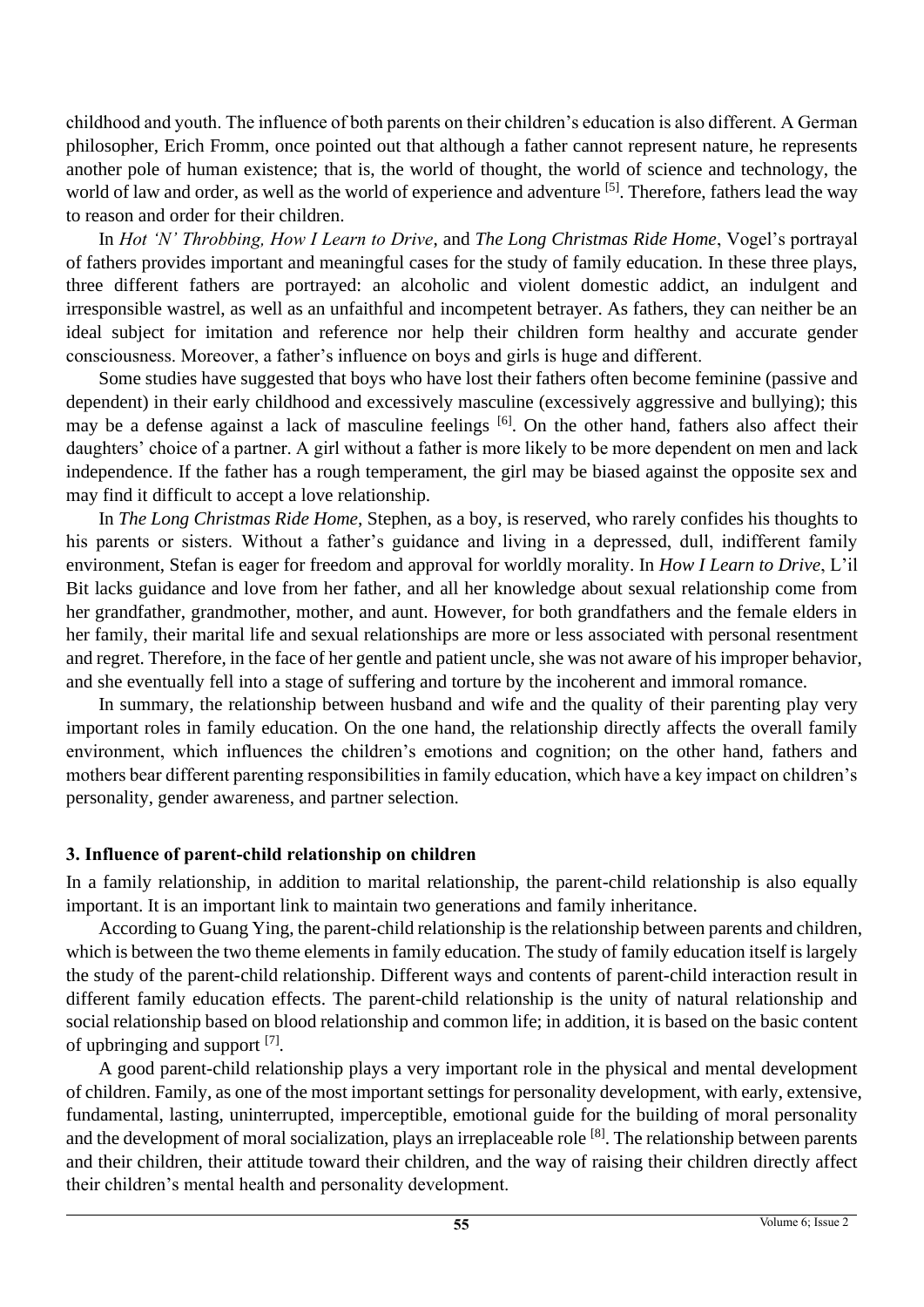childhood and youth. The influence of both parents on their children's education is also different. A German philosopher, Erich Fromm, once pointed out that although a father cannot represent nature, he represents another pole of human existence; that is, the world of thought, the world of science and technology, the world of law and order, as well as the world of experience and adventure <sup>[5]</sup>. Therefore, fathers lead the way to reason and order for their children.

In *Hot 'N' Throbbing, How I Learn to Drive*, and *The Long Christmas Ride Home*, Vogel's portrayal of fathers provides important and meaningful cases for the study of family education. In these three plays, three different fathers are portrayed: an alcoholic and violent domestic addict, an indulgent and irresponsible wastrel, as well as an unfaithful and incompetent betrayer. As fathers, they can neither be an ideal subject for imitation and reference nor help their children form healthy and accurate gender consciousness. Moreover, a father's influence on boys and girls is huge and different.

Some studies have suggested that boys who have lost their fathers often become feminine (passive and dependent) in their early childhood and excessively masculine (excessively aggressive and bullying); this may be a defense against a lack of masculine feelings <sup>[6]</sup>. On the other hand, fathers also affect their daughters' choice of a partner. A girl without a father is more likely to be more dependent on men and lack independence. If the father has a rough temperament, the girl may be biased against the opposite sex and may find it difficult to accept a love relationship.

In *The Long Christmas Ride Home*, Stephen, as a boy, is reserved, who rarely confides his thoughts to his parents or sisters. Without a father's guidance and living in a depressed, dull, indifferent family environment, Stefan is eager for freedom and approval for worldly morality. In *How I Learn to Drive*, L'il Bit lacks guidance and love from her father, and all her knowledge about sexual relationship come from her grandfather, grandmother, mother, and aunt. However, for both grandfathers and the female elders in her family, their marital life and sexual relationships are more or less associated with personal resentment and regret. Therefore, in the face of her gentle and patient uncle, she was not aware of his improper behavior, and she eventually fell into a stage of suffering and torture by the incoherent and immoral romance.

In summary, the relationship between husband and wife and the quality of their parenting play very important roles in family education. On the one hand, the relationship directly affects the overall family environment, which influences the children's emotions and cognition; on the other hand, fathers and mothers bear different parenting responsibilities in family education, which have a key impact on children's personality, gender awareness, and partner selection.

## **3. Influence of parent-child relationship on children**

In a family relationship, in addition to marital relationship, the parent-child relationship is also equally important. It is an important link to maintain two generations and family inheritance.

According to Guang Ying, the parent-child relationship is the relationship between parents and children, which is between the two theme elements in family education. The study of family education itself is largely the study of the parent-child relationship. Different ways and contents of parent-child interaction result in different family education effects. The parent-child relationship is the unity of natural relationship and social relationship based on blood relationship and common life; in addition, it is based on the basic content of upbringing and support  $^{[7]}$ .

A good parent-child relationship plays a very important role in the physical and mental development of children. Family, as one of the most important settings for personality development, with early, extensive, fundamental, lasting, uninterrupted, imperceptible, emotional guide for the building of moral personality and the development of moral socialization, plays an irreplaceable role <sup>[8]</sup>. The relationship between parents and their children, their attitude toward their children, and the way of raising their children directly affect their children's mental health and personality development.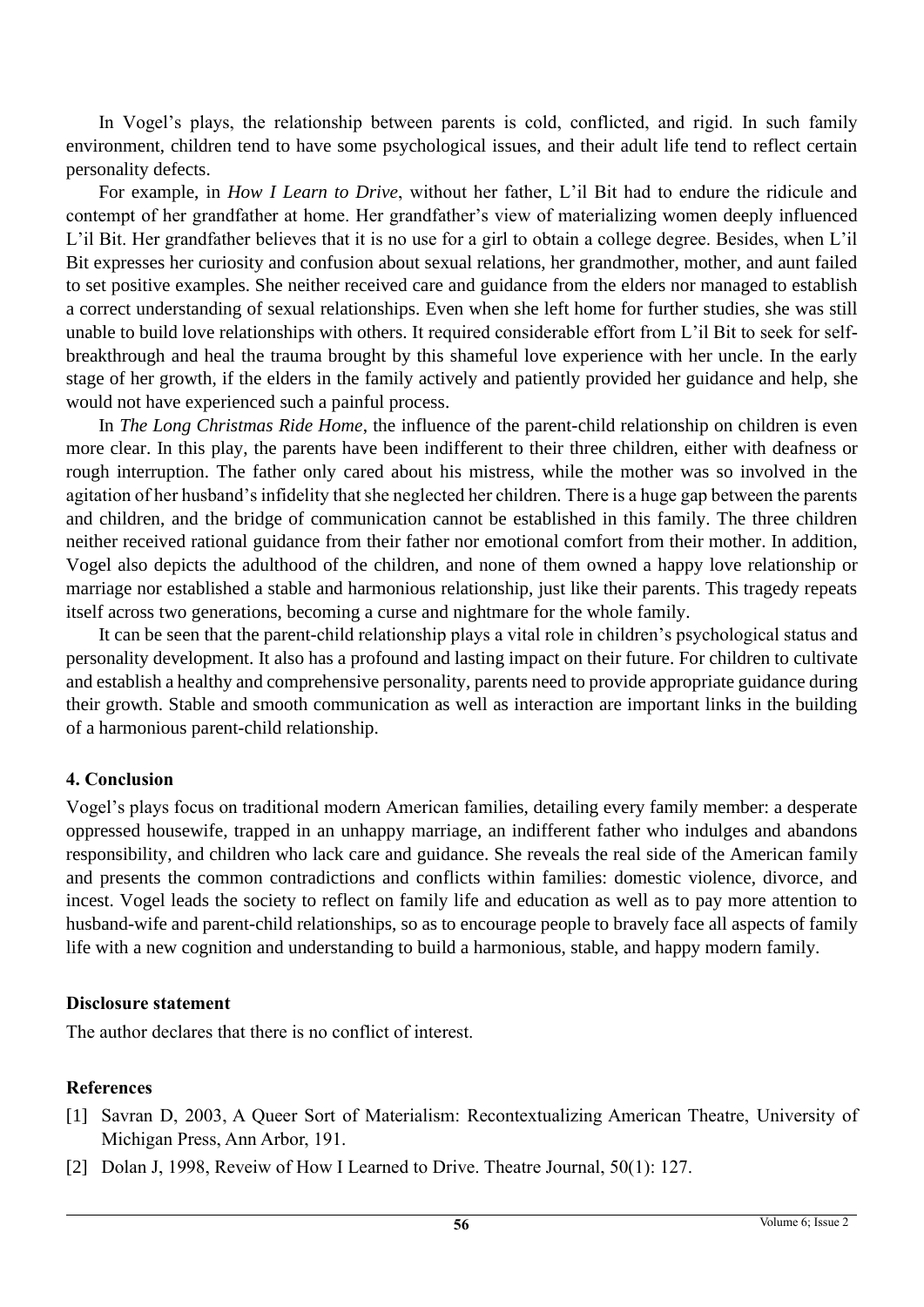In Vogel's plays, the relationship between parents is cold, conflicted, and rigid. In such family environment, children tend to have some psychological issues, and their adult life tend to reflect certain personality defects.

For example, in *How I Learn to Drive*, without her father, L'il Bit had to endure the ridicule and contempt of her grandfather at home. Her grandfather's view of materializing women deeply influenced L'il Bit. Her grandfather believes that it is no use for a girl to obtain a college degree. Besides, when L'il Bit expresses her curiosity and confusion about sexual relations, her grandmother, mother, and aunt failed to set positive examples. She neither received care and guidance from the elders nor managed to establish a correct understanding of sexual relationships. Even when she left home for further studies, she was still unable to build love relationships with others. It required considerable effort from L'il Bit to seek for selfbreakthrough and heal the trauma brought by this shameful love experience with her uncle. In the early stage of her growth, if the elders in the family actively and patiently provided her guidance and help, she would not have experienced such a painful process.

In *The Long Christmas Ride Home*, the influence of the parent-child relationship on children is even more clear. In this play, the parents have been indifferent to their three children, either with deafness or rough interruption. The father only cared about his mistress, while the mother was so involved in the agitation of her husband's infidelity that she neglected her children. There is a huge gap between the parents and children, and the bridge of communication cannot be established in this family. The three children neither received rational guidance from their father nor emotional comfort from their mother. In addition, Vogel also depicts the adulthood of the children, and none of them owned a happy love relationship or marriage nor established a stable and harmonious relationship, just like their parents. This tragedy repeats itself across two generations, becoming a curse and nightmare for the whole family.

It can be seen that the parent-child relationship plays a vital role in children's psychological status and personality development. It also has a profound and lasting impact on their future. For children to cultivate and establish a healthy and comprehensive personality, parents need to provide appropriate guidance during their growth. Stable and smooth communication as well as interaction are important links in the building of a harmonious parent-child relationship.

#### **4. Conclusion**

Vogel's plays focus on traditional modern American families, detailing every family member: a desperate oppressed housewife, trapped in an unhappy marriage, an indifferent father who indulges and abandons responsibility, and children who lack care and guidance. She reveals the real side of the American family and presents the common contradictions and conflicts within families: domestic violence, divorce, and incest. Vogel leads the society to reflect on family life and education as well as to pay more attention to husband-wife and parent-child relationships, so as to encourage people to bravely face all aspects of family life with a new cognition and understanding to build a harmonious, stable, and happy modern family.

#### **Disclosure statement**

The author declares that there is no conflict of interest.

#### **References**

- [1] Savran D, 2003, A Queer Sort of Materialism: Recontextualizing American Theatre, University of Michigan Press, Ann Arbor, 191.
- [2] Dolan J, 1998, Reveiw of How I Learned to Drive. Theatre Journal, 50(1): 127.